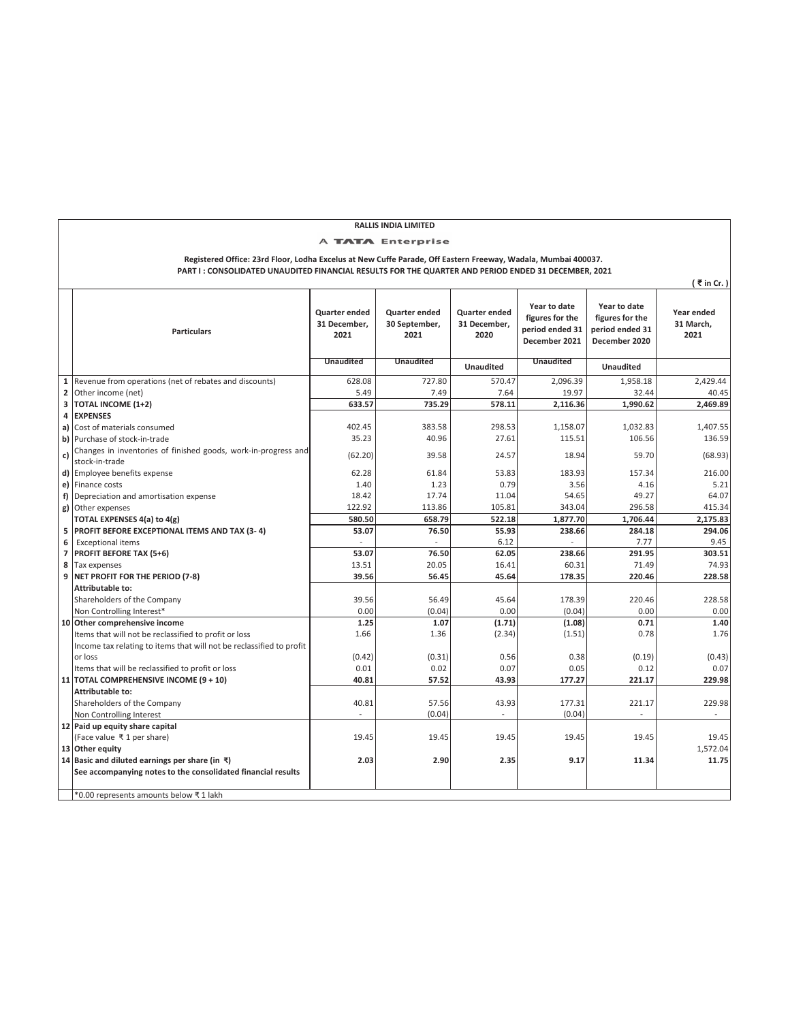| <b>RALLIS INDIA LIMITED</b>                                                                                                                                                                                          |                                                                                                                               |                                       |                                        |                                       |                                                                     |                                                                     |                                 |
|----------------------------------------------------------------------------------------------------------------------------------------------------------------------------------------------------------------------|-------------------------------------------------------------------------------------------------------------------------------|---------------------------------------|----------------------------------------|---------------------------------------|---------------------------------------------------------------------|---------------------------------------------------------------------|---------------------------------|
| <b>TATA</b> Enterprise                                                                                                                                                                                               |                                                                                                                               |                                       |                                        |                                       |                                                                     |                                                                     |                                 |
|                                                                                                                                                                                                                      |                                                                                                                               |                                       |                                        |                                       |                                                                     |                                                                     |                                 |
| Registered Office: 23rd Floor, Lodha Excelus at New Cuffe Parade, Off Eastern Freeway, Wadala, Mumbai 400037.<br>PART I: CONSOLIDATED UNAUDITED FINANCIAL RESULTS FOR THE QUARTER AND PERIOD ENDED 31 DECEMBER, 2021 |                                                                                                                               |                                       |                                        |                                       |                                                                     |                                                                     |                                 |
| $($ ₹ in Cr.)                                                                                                                                                                                                        |                                                                                                                               |                                       |                                        |                                       |                                                                     |                                                                     |                                 |
|                                                                                                                                                                                                                      | <b>Particulars</b>                                                                                                            | Quarter ended<br>31 December,<br>2021 | Quarter ended<br>30 September,<br>2021 | Quarter ended<br>31 December,<br>2020 | Year to date<br>figures for the<br>period ended 31<br>December 2021 | Year to date<br>figures for the<br>period ended 31<br>December 2020 | Year ended<br>31 March,<br>2021 |
|                                                                                                                                                                                                                      |                                                                                                                               | <b>Unaudited</b>                      | <b>Unaudited</b>                       | <b>Unaudited</b>                      | <b>Unaudited</b>                                                    | Unaudited                                                           |                                 |
| 1                                                                                                                                                                                                                    | Revenue from operations (net of rebates and discounts)                                                                        | 628.08                                | 727.80                                 | 570.47                                | 2,096.39                                                            | 1,958.18                                                            | 2,429.44                        |
| 2                                                                                                                                                                                                                    | Other income (net)                                                                                                            | 5.49                                  | 7.49                                   | 7.64                                  | 19.97                                                               | 32.44                                                               | 40.45                           |
| 3                                                                                                                                                                                                                    | TOTAL INCOME (1+2)                                                                                                            | 633.57                                | 735.29                                 | 578.11                                | 2,116.36                                                            | 1,990.62                                                            | 2,469.89                        |
| 4                                                                                                                                                                                                                    | <b>EXPENSES</b>                                                                                                               |                                       |                                        |                                       |                                                                     |                                                                     |                                 |
| a)                                                                                                                                                                                                                   | Cost of materials consumed                                                                                                    | 402.45                                | 383.58                                 | 298.53                                | 1,158.07                                                            | 1,032.83                                                            | 1,407.55                        |
| b)                                                                                                                                                                                                                   | Purchase of stock-in-trade                                                                                                    | 35.23                                 | 40.96                                  | 27.61                                 | 115.51                                                              | 106.56                                                              | 136.59                          |
|                                                                                                                                                                                                                      | Changes in inventories of finished goods, work-in-progress and                                                                |                                       |                                        |                                       |                                                                     |                                                                     |                                 |
| c)                                                                                                                                                                                                                   | stock-in-trade                                                                                                                | (62.20)                               | 39.58                                  | 24.57                                 | 18.94                                                               | 59.70                                                               | (68.93)                         |
| d)                                                                                                                                                                                                                   | Employee benefits expense                                                                                                     | 62.28                                 | 61.84                                  | 53.83                                 | 183.93                                                              | 157.34                                                              | 216.00                          |
| e)                                                                                                                                                                                                                   | Finance costs                                                                                                                 | 1.40                                  | 1.23                                   | 0.79                                  | 3.56                                                                | 4.16                                                                | 5.21                            |
| f)                                                                                                                                                                                                                   | Depreciation and amortisation expense                                                                                         | 18.42                                 | 17.74                                  | 11.04                                 | 54.65                                                               | 49.27                                                               | 64.07                           |
| g)                                                                                                                                                                                                                   | Other expenses                                                                                                                | 122.92                                | 113.86                                 | 105.81                                | 343.04                                                              | 296.58                                                              | 415.34                          |
|                                                                                                                                                                                                                      | TOTAL EXPENSES 4(a) to 4(g)                                                                                                   | 580.50                                | 658.79                                 | 522.18                                | 1,877.70                                                            | 1,706.44                                                            | 2,175.83                        |
| 5                                                                                                                                                                                                                    | PROFIT BEFORE EXCEPTIONAL ITEMS AND TAX (3-4)                                                                                 | 53.07                                 | 76.50                                  | 55.93                                 | 238.66                                                              | 284.18                                                              | 294.06                          |
| 6                                                                                                                                                                                                                    | <b>Exceptional items</b>                                                                                                      |                                       |                                        | 6.12                                  |                                                                     | 7.77                                                                | 9.45                            |
| $\overline{7}$                                                                                                                                                                                                       | PROFIT BEFORE TAX (5+6)                                                                                                       | 53.07                                 | 76.50                                  | 62.05                                 | 238.66                                                              | 291.95                                                              | 303.51                          |
| 8                                                                                                                                                                                                                    | Tax expenses                                                                                                                  | 13.51                                 | 20.05                                  | 16.41                                 | 60.31                                                               | 71.49                                                               | 74.93                           |
| 9                                                                                                                                                                                                                    | NET PROFIT FOR THE PERIOD (7-8)                                                                                               | 39.56                                 | 56.45                                  | 45.64                                 | 178.35                                                              | 220.46                                                              | 228.58                          |
|                                                                                                                                                                                                                      | Attributable to:                                                                                                              |                                       |                                        |                                       |                                                                     |                                                                     |                                 |
|                                                                                                                                                                                                                      | Shareholders of the Company                                                                                                   | 39.56                                 | 56.49                                  | 45.64                                 | 178.39                                                              | 220.46                                                              | 228.58                          |
|                                                                                                                                                                                                                      | Non Controlling Interest*                                                                                                     | 0.00                                  | (0.04)                                 | 0.00                                  | (0.04)                                                              | 0.00                                                                | 0.00                            |
|                                                                                                                                                                                                                      | 10 Other comprehensive income                                                                                                 | 1.25                                  | 1.07                                   | (1.71)                                | (1.08)                                                              | 0.71                                                                | 1.40                            |
|                                                                                                                                                                                                                      | Items that will not be reclassified to profit or loss<br>Income tax relating to items that will not be reclassified to profit | 1.66                                  | 1.36                                   | (2.34)                                | (1.51)                                                              | 0.78                                                                | 1.76                            |
|                                                                                                                                                                                                                      | or loss                                                                                                                       | (0.42)                                | (0.31)                                 | 0.56                                  | 0.38                                                                | (0.19)                                                              | (0.43)                          |
|                                                                                                                                                                                                                      | Items that will be reclassified to profit or loss                                                                             | 0.01                                  | 0.02                                   | 0.07                                  | 0.05                                                                | 0.12                                                                | 0.07                            |
|                                                                                                                                                                                                                      | 11 TOTAL COMPREHENSIVE INCOME (9 + 10)                                                                                        | 40.81                                 | 57.52                                  | 43.93                                 | 177.27                                                              | 221.17                                                              | 229.98                          |
|                                                                                                                                                                                                                      | <b>Attributable to:</b>                                                                                                       |                                       |                                        |                                       |                                                                     |                                                                     |                                 |
|                                                                                                                                                                                                                      | Shareholders of the Company                                                                                                   | 40.81                                 | 57.56                                  | 43.93                                 | 177.31                                                              | 221.17                                                              | 229.98                          |
|                                                                                                                                                                                                                      | Non Controlling Interest                                                                                                      |                                       | (0.04)                                 |                                       | (0.04)                                                              |                                                                     |                                 |
|                                                                                                                                                                                                                      | 12 Paid up equity share capital                                                                                               |                                       |                                        |                                       |                                                                     |                                                                     |                                 |
|                                                                                                                                                                                                                      | (Face value ₹ 1 per share)                                                                                                    | 19.45                                 | 19.45                                  | 19.45                                 | 19.45                                                               | 19.45                                                               | 19.45                           |
|                                                                                                                                                                                                                      | 13 Other equity                                                                                                               |                                       |                                        |                                       |                                                                     |                                                                     | 1,572.04                        |
|                                                                                                                                                                                                                      | 14 Basic and diluted earnings per share (in ₹)                                                                                | 2.03                                  | 2.90                                   | 2.35                                  | 9.17                                                                | 11.34                                                               | 11.75                           |
|                                                                                                                                                                                                                      | See accompanying notes to the consolidated financial results                                                                  |                                       |                                        |                                       |                                                                     |                                                                     |                                 |
|                                                                                                                                                                                                                      |                                                                                                                               |                                       |                                        |                                       |                                                                     |                                                                     |                                 |
|                                                                                                                                                                                                                      | *0.00 represents amounts below ₹1 lakh                                                                                        |                                       |                                        |                                       |                                                                     |                                                                     |                                 |